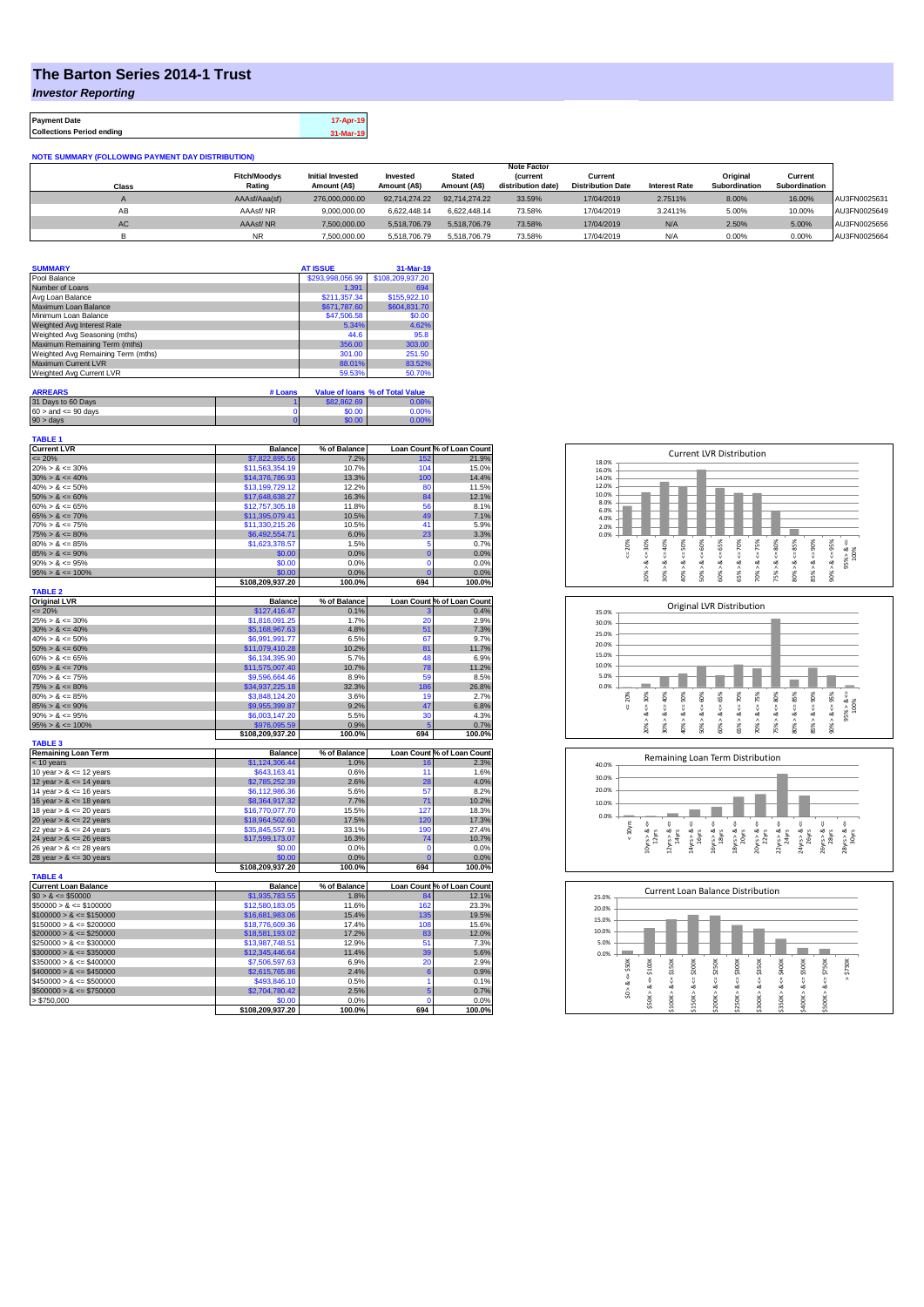## **The Barton Series 2014-1 Trust**

*Investor Reporting*

**Payment Date 17-Apr-19 Collections Period ending 31-Mar-19**

| <b>NOTE SUMMARY (FOLLOWING PAYMENT DAY DISTRIBUTION)</b> |                     |                         |               |               |                    |                          |                      |               |               |              |
|----------------------------------------------------------|---------------------|-------------------------|---------------|---------------|--------------------|--------------------------|----------------------|---------------|---------------|--------------|
|                                                          |                     |                         |               |               | <b>Note Factor</b> |                          |                      |               |               |              |
|                                                          | <b>Fitch/Moodys</b> | <b>Initial Invested</b> | Invested      | <b>Stated</b> | <b>Current</b>     | Current                  |                      | Original      | Current       |              |
| Class                                                    | Rating              | Amount (A\$)            | Amount (A\$)  | Amount (A\$)  | distribution date) | <b>Distribution Date</b> | <b>Interest Rate</b> | Subordination | Subordination |              |
|                                                          | AAAsf/Aaa(sf)       | 276,000,000,00          | 92.714.274.22 | 92.714.274.22 | 33.59%             | 17/04/2019               | 2.7511%              | 8.00%         | 16.00%        | AU3FN0025631 |
| AB                                                       | AAAsf/NR            | 9.000.000.00            | 6.622.448.14  | 6.622.448.14  | 73.58%             | 17/04/2019               | 3.2411%              | 5.00%         | 10.00%        | AU3FN0025649 |
| AC                                                       | AAAsf/NR            | 7,500,000.00            | 5.518.706.79  | 5.518.706.79  | 73.58%             | 17/04/2019               | N/A                  | 2.50%         | 5.00%         | AU3FN0025656 |
|                                                          | <b>NR</b>           | 7.500.000.00            | 5.518.706.79  | 5.518.706.79  | 73.58%             | 17/04/2019               | N/A                  | 0.00%         | 0.00%         | AU3FN0025664 |

| <b>SUMMARY</b>                     |         | <b>AT ISSUE</b>  | 31-Mar-19                       |
|------------------------------------|---------|------------------|---------------------------------|
| Pool Balance                       |         | \$293,998,056.99 | \$108,209,937.20                |
| Number of Loans                    |         | 1.391            | 694                             |
| Avg Loan Balance                   |         | \$211.357.34     | \$155,922.10                    |
| Maximum Loan Balance               |         | \$671,787.60     | \$604,831.70                    |
| Minimum Loan Balance               |         | \$47,506.58      | \$0.00                          |
| Weighted Avg Interest Rate         |         | 5.34%            | 4.62%                           |
| Weighted Avg Seasoning (mths)      |         | 44.6             | 95.8                            |
| Maximum Remaining Term (mths)      |         | 356.00           | 303.00                          |
| Weighted Avg Remaining Term (mths) |         | 301.00           | 251.50                          |
| <b>Maximum Current LVR</b>         |         | 88.01%           | 83.52%                          |
| Weighted Avg Current LVR           |         | 59.53%           | 50.70%                          |
|                                    |         |                  |                                 |
| <b>ARREARS</b>                     | # Loans |                  | Value of Ioans % of Total Value |

| 31 Days to 60 Days        | \$82,862.69 | 0.08% |
|---------------------------|-------------|-------|
| $60 >$ and $\leq 90$ days | \$0.00      | 0.00% |
| $90 >$ days               | \$0.00      | 0.00% |

| <b>TABLE 1</b><br><b>Current LVR</b> | <b>Balance</b>           | % of Balance |                 | Loan Count % of Loan Count |
|--------------------------------------|--------------------------|--------------|-----------------|----------------------------|
| $\leq$ 20%                           | \$7,822,895.56           | 7.2%         | 152             | 21.9%                      |
| $20\% > 8 \le 30\%$                  | \$11,563,354.19          | 10.7%        | 104             | 15.0%                      |
| $30\% > 8 \le 40\%$                  | \$14,376,786.93          | 13.3%        | 100             | 14.4%                      |
| $40\% > 8 \le 50\%$                  | \$13,199,729.12          | 12.2%        | 80              | 11.5%                      |
| $50\% > 8 \le 60\%$                  | \$17,648,638.27          | 16.3%        | 84              | 12.1%                      |
| $60\% > 8 \le 65\%$                  | \$12,757,305.18          | 11.8%        | 56              | 8.1%                       |
| $65\% > 8 \le 70\%$                  | \$11,395,079.41          | 10.5%        | 49              | 7.1%                       |
| $70\% > 8 \le 75\%$                  | \$11,330,215.26          | 10.5%        | 41              | 5.9%                       |
| $75\% > 8 \le 80\%$                  | \$6,492,554.71           | 6.0%         | 23              | 3.3%                       |
| $80\% > 8 \le 85\%$                  |                          | 1.5%         | 5               | 0.7%                       |
| $85\% > 8 \le 90\%$                  | \$1,623,378.57<br>\$0.00 | 0.0%         | $\bf{0}$        | 0.0%                       |
| $90\% > 8 \le 95\%$                  | \$0.00                   | 0.0%         | $\mathbf 0$     | 0.0%                       |
| $95\% > 8 \le 100\%$                 | \$0.00                   | 0.0%         |                 | 0.0%                       |
|                                      | \$108,209,937.20         | 100.0%       | 694             | 100.0%                     |
| <b>TABLE 2</b>                       |                          |              |                 |                            |
| <b>Original LVR</b>                  | <b>Balance</b>           | % of Balance |                 | Loan Count % of Loan Count |
| $= 20%$                              | \$127,416.47             | 0.1%         |                 | 0.4%                       |
| $25\% > 8 \le 30\%$                  | \$1,816,091.25           | 1.7%         | 20              | 2.9%                       |
| $30\% > 8 \le 40\%$                  | \$5,168,967.63           | 4.8%         | 51              | 7.3%                       |
| $40\% > 8 \le 50\%$                  | \$6,991,991.77           | 6.5%         | 67              | 9.7%                       |
| $50\% > 8 \le 60\%$                  | \$11,079,410.28          | 10.2%        | 81              | 11.7%                      |
| $60\% > 8 \le 65\%$                  | \$6,134,395.90           | 5.7%         | 48              | 6.9%                       |
| $65\% > 8 \le 70\%$                  | \$11,575,007.40          | 10.7%        | 78              | 11.2%                      |
| $70\% > 8 \le 75\%$                  | \$9,596,664.46           | 8.9%         | 59              | 8.5%                       |
| $75\% > 8 \le 80\%$                  | \$34,937,225.18          | 32.3%        | 186             | 26.8%                      |
| $80\% > 8 \le 85\%$                  | \$3.848.124.20           | 3.6%         | 19              | 2.7%                       |
| $85\% > 8 \le 90\%$                  | \$9,955,399.87           | 9.2%         | 47              | 6.8%                       |
| $90\% > 8 \le 95\%$                  | \$6,003,147.20           | 5.5%         | 30              | 4.3%                       |
| $95\% > 8 \le 100\%$                 | \$976,095.59             | 0.9%         |                 | 0.7%                       |
|                                      | \$108,209,937.20         | 100.0%       | 694             | 100.0%                     |
| <b>TABLE 3</b>                       |                          |              |                 |                            |
| <b>Remaining Loan Term</b>           | <b>Balance</b>           | % of Balance |                 | Loan Count % of Loan Count |
| < 10 years                           | \$1,124,306.44           | 1.0%         | 16              | 2.3%                       |
| 10 year $> 8 \le 12$ years           | \$643,163.41             | 0.6%         | 11              | 1.6%                       |
| 12 year $> 8 \le 14$ years           | \$2,785,252.39           | 2.6%         | 28              | 4.0%                       |
| 14 year $> 8 \le 16$ years           | \$6,112,986.36           | 5.6%         | 57              | 8.2%                       |
| 16 year $> 8 \le 18$ years           | \$8,364,917.32           | 7.7%         | 71              | 10.2%                      |
| 18 year $> 8 \le 20$ years           | \$16,770,077.70          | 15.5%        | 127             | 18.3%                      |
| 20 year $> 8 \le 22$ years           | \$18,964,502.60          | 17.5%        | 120             | 17.3%                      |
| 22 year $> 8 \le 24$ years           | \$35,845,557.91          | 33.1%        | 190             | 27.4%                      |
| 24 year $> 8 \le 26$ years           | \$17,599,173.07          | 16.3%        | 74              | 10.7%                      |
| 26 year $> 8 \le 28$ years           | \$0.00                   | 0.0%         | ٢               | 0.0%                       |
| 28 year $> 8 \le 30$ years           | \$0.00                   | 0.0%         | 0               | 0.0%                       |
|                                      | \$108,209,937.20         | 100.0%       | 694             | 100.0%                     |
| <b>TABLE 4</b>                       |                          |              |                 |                            |
| <b>Current Loan Balance</b>          | <b>Balance</b>           | % of Balance |                 | Loan Count % of Loan Count |
| $$0 > 8 \le $50000$                  | \$1,935,783.55           | 1.8%         | 84              | 12.1%                      |
| $$50000 > 8 \le $100000$             | \$12,580,183.05          | 11.6%        | 162             | 23.3%                      |
| $$100000 > 8 \leq $150000$           | \$16,681,983.06          | 15.4%        | 135             | 19.5%                      |
| $$150000 > 8 \leq $200000$           | \$18,776,609.36          | 17.4%        | 108             | 15.6%                      |
| $$200000 > 8 \leq $250000$           | \$18,581,193.02          | 17.2%        | 83              | 12.0%                      |
| $$250000 > 8 \leq $300000$           | \$13,987,748.51          | 12.9%        | 51              | 7.3%                       |
| $$300000 > 8 \leq $350000$           | \$12,345,446.64          | 11.4%        | 39              | 5.6%                       |
| $$350000 > 8 \le $400000$            | \$7,506,597.63           | 6.9%         | 20              | 2.9%                       |
| $$400000 > 8 \le $450000$            | \$2,615,765.86           | 2.4%         | 6               | 0.9%                       |
| $$450000 > 8 \le $500000$            | \$493,846.10             | 0.5%         | 1               | 0.1%                       |
| $$500000 > 8 \le $750000$            | \$2,704,780.42           | 2.5%         | 5               | 0.7%                       |
| > \$750,000                          | \$0.00                   | 0.0%         | $\Omega$<br>694 | 0.0%                       |
|                                      |                          | 100.0%       |                 | 100.0%                     |







| 25.0% |        |        |        |        |        | <b>Current Loan Balance Distribution</b> |        |             |        |         |        |
|-------|--------|--------|--------|--------|--------|------------------------------------------|--------|-------------|--------|---------|--------|
| 20.0% |        |        |        |        |        |                                          |        |             |        |         |        |
| 15.0% |        |        |        |        |        |                                          |        |             |        |         |        |
| 10.0% |        |        |        |        |        |                                          |        |             |        |         |        |
| 5.0%  |        |        |        |        |        |                                          |        |             |        |         |        |
| 0.0%  |        |        |        |        |        |                                          |        |             |        |         |        |
|       | \$50K  | \$100K | \$150K | \$200K | \$250K | \$300K                                   | \$350K | $4 = $400K$ | \$500K | \$750K  | \$750K |
|       | ő      |        | V      | ÷,     | ű      | ű                                        | IJ,    |             | υ      | V       | ٨      |
|       | ∞<br>٨ | ಯ      | œ      | œ      | œ      | ಜ                                        | œ      |             | œ      | ∞       |        |
|       | S.     | ٨      | Λ      | ٨      | Λ      |                                          | Λ      |             | ۸      |         |        |
|       |        | \$50K  | \$100K | \$150K | \$200K | \$250K>                                  | \$300K | \$350K > 8  | \$400K | \$500K> |        |